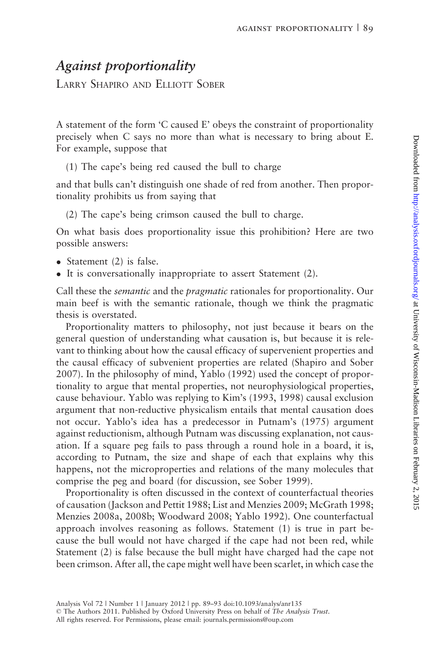## Against proportionality

LARRY SHAPIRO AND ELLIOTT SOBER

A statement of the form 'C caused E' obeys the constraint of proportionality precisely when C says no more than what is necessary to bring about E. For example, suppose that

(1) The cape's being red caused the bull to charge

and that bulls can't distinguish one shade of red from another. Then proportionality prohibits us from saying that

(2) The cape's being crimson caused the bull to charge.

On what basis does proportionality issue this prohibition? Here are two possible answers:

- Statement (2) is false.
- It is conversationally inappropriate to assert Statement (2).

Call these the semantic and the pragmatic rationales for proportionality. Our main beef is with the semantic rationale, though we think the pragmatic thesis is overstated.

Proportionality matters to philosophy, not just because it bears on the general question of understanding what causation is, but because it is relevant to thinking about how the causal efficacy of supervenient properties and the causal efficacy of subvenient properties are related [\(Shapiro and Sober](#page-4-0) [2007\)](#page-4-0). In the philosophy of mind, [Yablo \(1992\)](#page-4-0) used the concept of proportionality to argue that mental properties, not neurophysiological properties, cause behaviour. Yablo was replying to Kim's ([1993, 1998](#page-4-0)) causal exclusion argument that non-reductive physicalism entails that mental causation does not occur. Yablo's idea has a predecessor in [Putnam's \(1975\)](#page-4-0) argument against reductionism, although Putnam was discussing explanation, not causation. If a square peg fails to pass through a round hole in a board, it is, according to Putnam, the size and shape of each that explains why this happens, not the microproperties and relations of the many molecules that comprise the peg and board (for discussion, see [Sober 1999](#page-4-0)).

Proportionality is often discussed in the context of counterfactual theories of causation [\(Jackson and Pettit 1988](#page-4-0); [List and Menzies 2009; McGrath 1998;](#page-4-0) [Menzies 2008a](#page-4-0), [2008b](#page-4-0); [Woodward 2008](#page-4-0); [Yablo 1992\)](#page-4-0). One counterfactual approach involves reasoning as follows. Statement (1) is true in part because the bull would not have charged if the cape had not been red, while Statement (2) is false because the bull might have charged had the cape not been crimson. After all, the cape might well have been scarlet, in which case the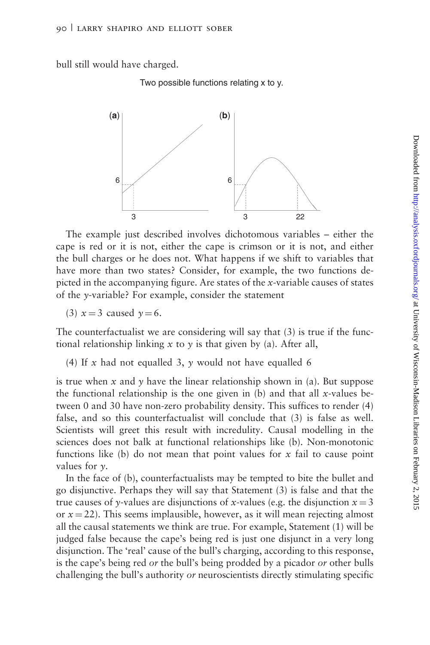bull still would have charged.

Two possible functions relating x to y.



The example just described involves dichotomous variables – either the cape is red or it is not, either the cape is crimson or it is not, and either the bull charges or he does not. What happens if we shift to variables that have more than two states? Consider, for example, the two functions depicted in the accompanying figure. Are states of the x-variable causes of states of the y-variable? For example, consider the statement

(3)  $x = 3$  caused  $y = 6$ .

The counterfactualist we are considering will say that (3) is true if the functional relationship linking  $x$  to  $y$  is that given by (a). After all,

(4) If x had not equalled 3, y would not have equalled 6

is true when x and y have the linear relationship shown in (a). But suppose the functional relationship is the one given in (b) and that all x-values between 0 and 30 have non-zero probability density. This suffices to render (4) false, and so this counterfactualist will conclude that (3) is false as well. Scientists will greet this result with incredulity. Causal modelling in the sciences does not balk at functional relationships like (b). Non-monotonic functions like (b) do not mean that point values for  $x$  fail to cause point values for  $\nu$ .

In the face of (b), counterfactualists may be tempted to bite the bullet and go disjunctive. Perhaps they will say that Statement (3) is false and that the true causes of y-values are disjunctions of x-values (e.g. the disjunction  $x = 3$ or  $x = 22$ ). This seems implausible, however, as it will mean rejecting almost all the causal statements we think are true. For example, Statement (1) will be judged false because the cape's being red is just one disjunct in a very long disjunction. The 'real' cause of the bull's charging, according to this response, is the cape's being red or the bull's being prodded by a picador or other bulls challenging the bull's authority or neuroscientists directly stimulating specific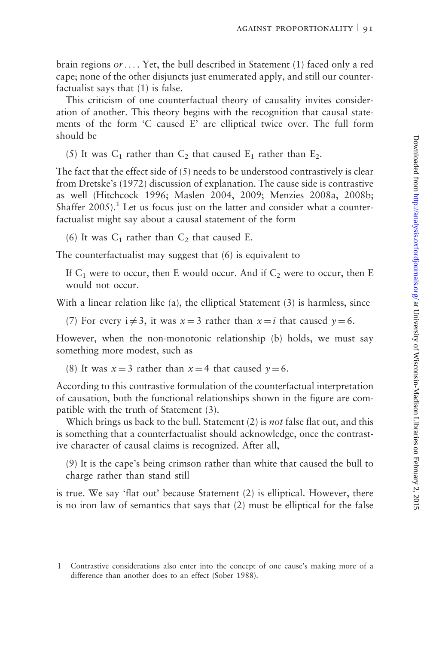brain regions or... . Yet, the bull described in Statement (1) faced only a red cape; none of the other disjuncts just enumerated apply, and still our counterfactualist says that (1) is false.

This criticism of one counterfactual theory of causality invites consideration of another. This theory begins with the recognition that causal statements of the form 'C caused E' are elliptical twice over. The full form should be

(5) It was  $C_1$  rather than  $C_2$  that caused  $E_1$  rather than  $E_2$ .

The fact that the effect side of (5) needs to be understood contrastively is clear from [Dretske's \(1972\)](#page-4-0) discussion of explanation. The cause side is contrastive as well ([Hitchcock 1996; Maslen 2004, 2009](#page-4-0); [Menzies 2008a, 2008b;](#page-4-0) Shaffer  $2005$ ).<sup>1</sup> Let us focus just on the latter and consider what a counterfactualist might say about a causal statement of the form

(6) It was  $C_1$  rather than  $C_2$  that caused E.

The counterfactualist may suggest that (6) is equivalent to

If  $C_1$  were to occur, then E would occur. And if  $C_2$  were to occur, then E would not occur.

With a linear relation like (a), the elliptical Statement (3) is harmless, since

(7) For every  $i \neq 3$ , it was  $x = 3$  rather than  $x = i$  that caused  $y = 6$ .

However, when the non-monotonic relationship (b) holds, we must say something more modest, such as

(8) It was  $x = 3$  rather than  $x = 4$  that caused  $y = 6$ .

According to this contrastive formulation of the counterfactual interpretation of causation, both the functional relationships shown in the figure are compatible with the truth of Statement (3).

Which brings us back to the bull. Statement (2) is not false flat out, and this is something that a counterfactualist should acknowledge, once the contrastive character of causal claims is recognized. After all,

(9) It is the cape's being crimson rather than white that caused the bull to charge rather than stand still

is true. We say 'flat out' because Statement (2) is elliptical. However, there is no iron law of semantics that says that (2) must be elliptical for the false

<sup>1</sup> Contrastive considerations also enter into the concept of one cause's making more of a difference than another does to an effect ([Sober 1988](#page-4-0)).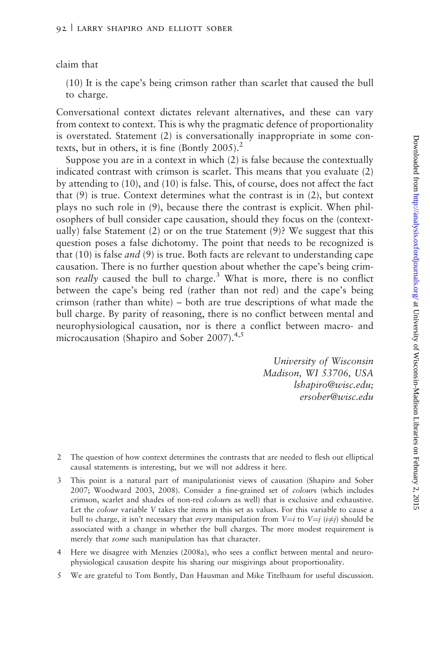claim that

(10) It is the cape's being crimson rather than scarlet that caused the bull to charge.

Conversational context dictates relevant alternatives, and these can vary from context to context. This is why the pragmatic defence of proportionality is overstated. Statement (2) is conversationally inappropriate in some contexts, but in others, it is fine (Bontly  $2005$ ).<sup>2</sup>

Suppose you are in a context in which (2) is false because the contextually indicated contrast with crimson is scarlet. This means that you evaluate (2) by attending to (10), and (10) is false. This, of course, does not affect the fact that (9) is true. Context determines what the contrast is in (2), but context plays no such role in (9), because there the contrast is explicit. When philosophers of bull consider cape causation, should they focus on the (contextually) false Statement (2) or on the true Statement (9)? We suggest that this question poses a false dichotomy. The point that needs to be recognized is that (10) is false *and* (9) is true. Both facts are relevant to understanding cape causation. There is no further question about whether the cape's being crimson *really* caused the bull to charge.<sup>3</sup> What is more, there is no conflict between the cape's being red (rather than not red) and the cape's being crimson (rather than white) – both are true descriptions of what made the bull charge. By parity of reasoning, there is no conflict between mental and neurophysiological causation, nor is there a conflict between macro- and microcausation ([Shapiro and Sober 2007\)](#page-4-0).<sup>4,5</sup>

> University of Wisconsin Madison, WI 53706, USA lshapiro@wisc.edu; ersober@wisc.edu

- 2 The question of how context determines the contrasts that are needed to flesh out elliptical causal statements is interesting, but we will not address it here.
- 3 This point is a natural part of manipulationist views of causation [\(Shapiro and Sober](#page-4-0) [2007](#page-4-0); [Woodward 2003, 2008\)](#page-4-0). Consider a fine-grained set of colours (which includes crimson, scarlet and shades of non-red colours as well) that is exclusive and exhaustive. Let the colour variable V takes the items in this set as values. For this variable to cause a bull to charge, it isn't necessary that *every* manipulation from  $V=i$  to  $V=j$  ( $i\neq j$ ) should be associated with a change in whether the bull charges. The more modest requirement is merely that *some* such manipulation has that character.
- 4 Here we disagree with [Menzies \(2008a\),](#page-4-0) who sees a conflict between mental and neurophysiological causation despite his sharing our misgivings about proportionality.
- 5 We are grateful to Tom Bontly, Dan Hausman and Mike Titelbaum for useful discussion.